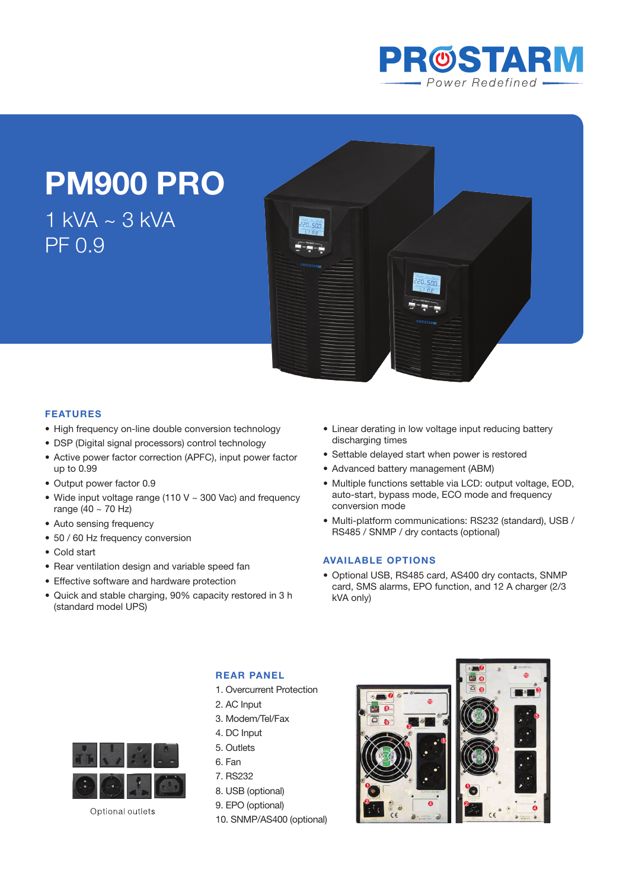

# **PM900 PRO**

 $1$  kVA  $\sim$  3 kVA PF 0.9



## **Features**

- High frequency on-line double conversion technology
- DSP (Digital signal processors) control technology
- Active power factor correction (APFC), input power factor up to 0.99
- Output power factor 0.9
- Wide input voltage range (110 V  $\sim$  300 Vac) and frequency range (40 ~ 70 Hz)
- Auto sensing frequency
- 50 / 60 Hz frequency conversion
- Cold start
- Rear ventilation design and variable speed fan
- Effective software and hardware protection
- • Quick and stable charging, 90% capacity restored in 3 h (standard model UPS)
- Linear derating in low voltage input reducing battery discharging times
- Settable delayed start when power is restored
- Advanced battery management (ABM)
- Multiple functions settable via LCD: output voltage, EOD, auto-start, bypass mode, ECO mode and frequency conversion mode
- • Multi-platform communications: RS232 (standard), USB / RS485 / SNMP / dry contacts (optional)

#### **Available Options**

• Optional USB, RS485 card, AS400 dry contacts, SNMP card, SMS alarms, EPO function, and 12 A charger (2/3 kVA only)



Optional outlets

## **REAR PANEL**

- 1. Overcurrent Protection
- 2. AC Input
- 3. Modem/Tel/Fax
- 4. DC Input
- 5. Outlets
- 6. Fan
- 7. RS232
- 8. USB (optional)
- 9. EPO (optional)
- 10. SNMP/AS400 (optional)